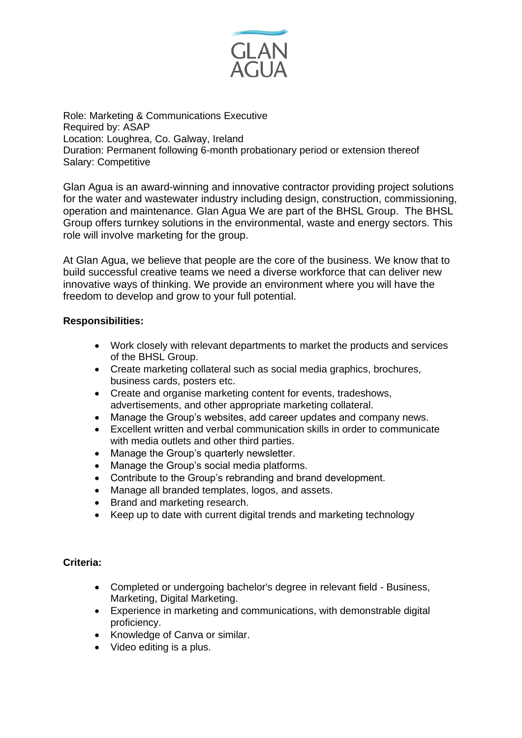

Role: Marketing & Communications Executive Required by: ASAP Location: Loughrea, Co. Galway, Ireland Duration: Permanent following 6-month probationary period or extension thereof Salary: Competitive

Glan Agua is an award-winning and innovative contractor providing project solutions for the water and wastewater industry including design, construction, commissioning, operation and maintenance. Glan Agua We are part of the BHSL Group. The BHSL Group offers turnkey solutions in the environmental, waste and energy sectors. This role will involve marketing for the group.

At Glan Agua, we believe that people are the core of the business. We know that to build successful creative teams we need a diverse workforce that can deliver new innovative ways of thinking. We provide an environment where you will have the freedom to develop and grow to your full potential.

## **Responsibilities:**

- Work closely with relevant departments to market the products and services of the BHSL Group.
- Create marketing collateral such as social media graphics, brochures, business cards, posters etc.
- Create and organise marketing content for events, tradeshows, advertisements, and other appropriate marketing collateral.
- Manage the Group's websites, add career updates and company news.
- Excellent written and verbal communication skills in order to communicate with media outlets and other third parties.
- Manage the Group's quarterly newsletter.
- Manage the Group's social media platforms.
- Contribute to the Group's rebranding and brand development.
- Manage all branded templates, logos, and assets.
- Brand and marketing research.
- Keep up to date with current digital trends and marketing technology

## **Criteria:**

- Completed or undergoing bachelor's degree in relevant field Business, Marketing, Digital Marketing.
- Experience in marketing and communications, with demonstrable digital proficiency.
- Knowledge of Canva or similar.
- Video editing is a plus.